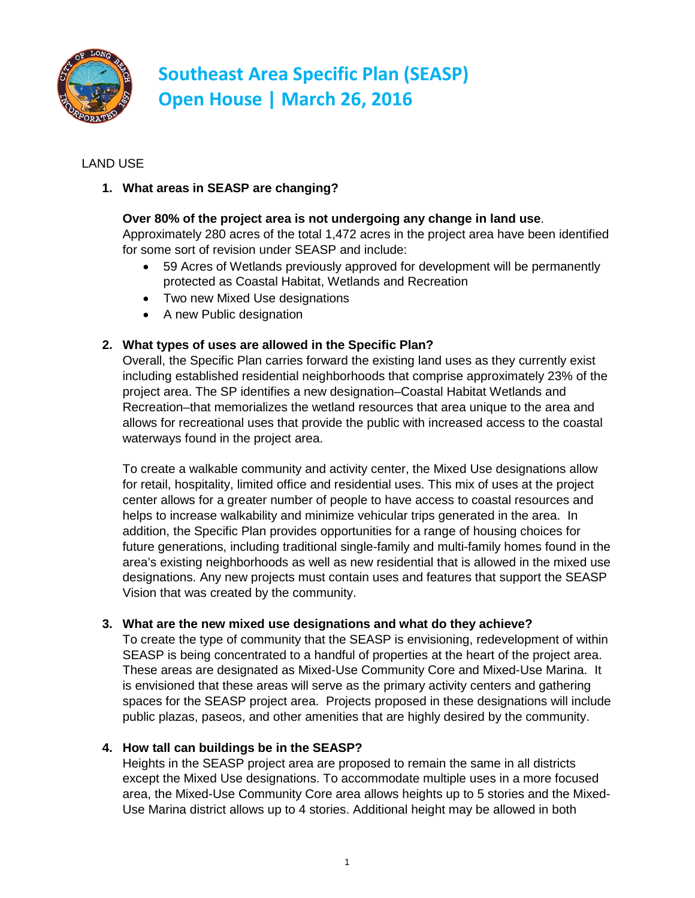

## LAND USE

## **1. What areas in SEASP are changing?**

### **Over 80% of the project area is not undergoing any change in land use**.

Approximately 280 acres of the total 1,472 acres in the project area have been identified for some sort of revision under SEASP and include:

- 59 Acres of Wetlands previously approved for development will be permanently protected as Coastal Habitat, Wetlands and Recreation
- Two new Mixed Use designations
- A new Public designation

### **2. What types of uses are allowed in the Specific Plan?**

Overall, the Specific Plan carries forward the existing land uses as they currently exist including established residential neighborhoods that comprise approximately 23% of the project area. The SP identifies a new designation–Coastal Habitat Wetlands and Recreation–that memorializes the wetland resources that area unique to the area and allows for recreational uses that provide the public with increased access to the coastal waterways found in the project area.

To create a walkable community and activity center, the Mixed Use designations allow for retail, hospitality, limited office and residential uses. This mix of uses at the project center allows for a greater number of people to have access to coastal resources and helps to increase walkability and minimize vehicular trips generated in the area. In addition, the Specific Plan provides opportunities for a range of housing choices for future generations, including traditional single-family and multi-family homes found in the area's existing neighborhoods as well as new residential that is allowed in the mixed use designations. Any new projects must contain uses and features that support the SEASP Vision that was created by the community.

#### **3. What are the new mixed use designations and what do they achieve?**

To create the type of community that the SEASP is envisioning, redevelopment of within SEASP is being concentrated to a handful of properties at the heart of the project area. These areas are designated as Mixed-Use Community Core and Mixed-Use Marina. It is envisioned that these areas will serve as the primary activity centers and gathering spaces for the SEASP project area. Projects proposed in these designations will include public plazas, paseos, and other amenities that are highly desired by the community.

#### **4. How tall can buildings be in the SEASP?**

Heights in the SEASP project area are proposed to remain the same in all districts except the Mixed Use designations. To accommodate multiple uses in a more focused area, the Mixed-Use Community Core area allows heights up to 5 stories and the Mixed-Use Marina district allows up to 4 stories. Additional height may be allowed in both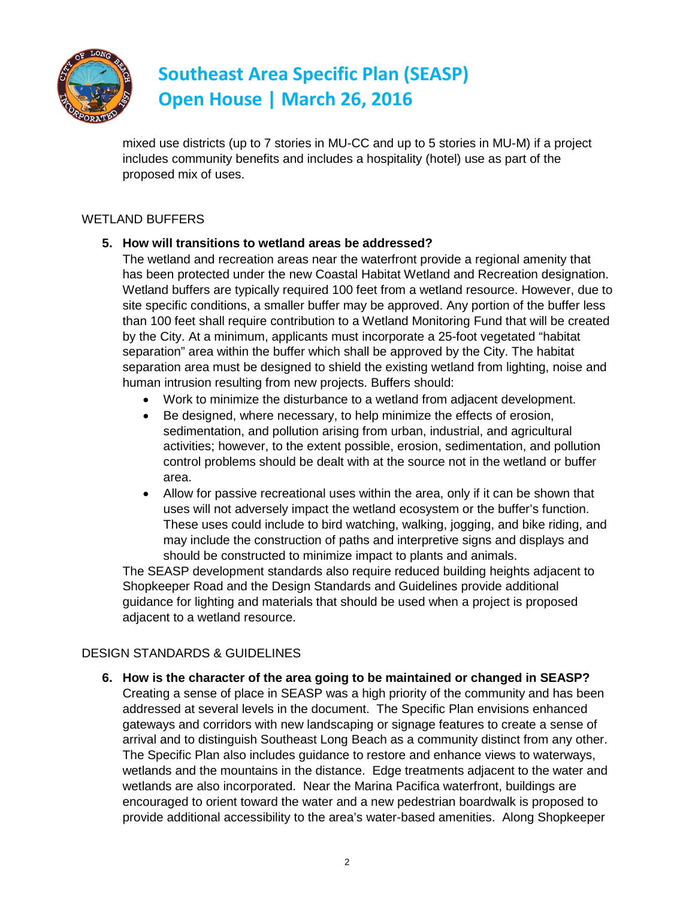

mixed use districts (up to 7 stories in MU-CC and up to 5 stories in MU-M) if a project includes community benefits and includes a hospitality (hotel) use as part of the proposed mix of uses.

## WETLAND BUFFERS

### **5. How will transitions to wetland areas be addressed?**

The wetland and recreation areas near the waterfront provide a regional amenity that has been protected under the new Coastal Habitat Wetland and Recreation designation. Wetland buffers are typically required 100 feet from a wetland resource. However, due to site specific conditions, a smaller buffer may be approved. Any portion of the buffer less than 100 feet shall require contribution to a Wetland Monitoring Fund that will be created by the City. At a minimum, applicants must incorporate a 25-foot vegetated "habitat separation" area within the buffer which shall be approved by the City. The habitat separation area must be designed to shield the existing wetland from lighting, noise and human intrusion resulting from new projects. Buffers should:

- Work to minimize the disturbance to a wetland from adjacent development.
- Be designed, where necessary, to help minimize the effects of erosion, sedimentation, and pollution arising from urban, industrial, and agricultural activities; however, to the extent possible, erosion, sedimentation, and pollution control problems should be dealt with at the source not in the wetland or buffer area.
- Allow for passive recreational uses within the area, only if it can be shown that uses will not adversely impact the wetland ecosystem or the buffer's function. These uses could include to bird watching, walking, jogging, and bike riding, and may include the construction of paths and interpretive signs and displays and should be constructed to minimize impact to plants and animals.

The SEASP development standards also require reduced building heights adjacent to Shopkeeper Road and the Design Standards and Guidelines provide additional guidance for lighting and materials that should be used when a project is proposed adjacent to a wetland resource.

## DESIGN STANDARDS & GUIDELINES

**6. How is the character of the area going to be maintained or changed in SEASP?** Creating a sense of place in SEASP was a high priority of the community and has been addressed at several levels in the document. The Specific Plan envisions enhanced gateways and corridors with new landscaping or signage features to create a sense of arrival and to distinguish Southeast Long Beach as a community distinct from any other. The Specific Plan also includes guidance to restore and enhance views to waterways, wetlands and the mountains in the distance. Edge treatments adjacent to the water and wetlands are also incorporated. Near the Marina Pacifica waterfront, buildings are encouraged to orient toward the water and a new pedestrian boardwalk is proposed to provide additional accessibility to the area's water-based amenities. Along Shopkeeper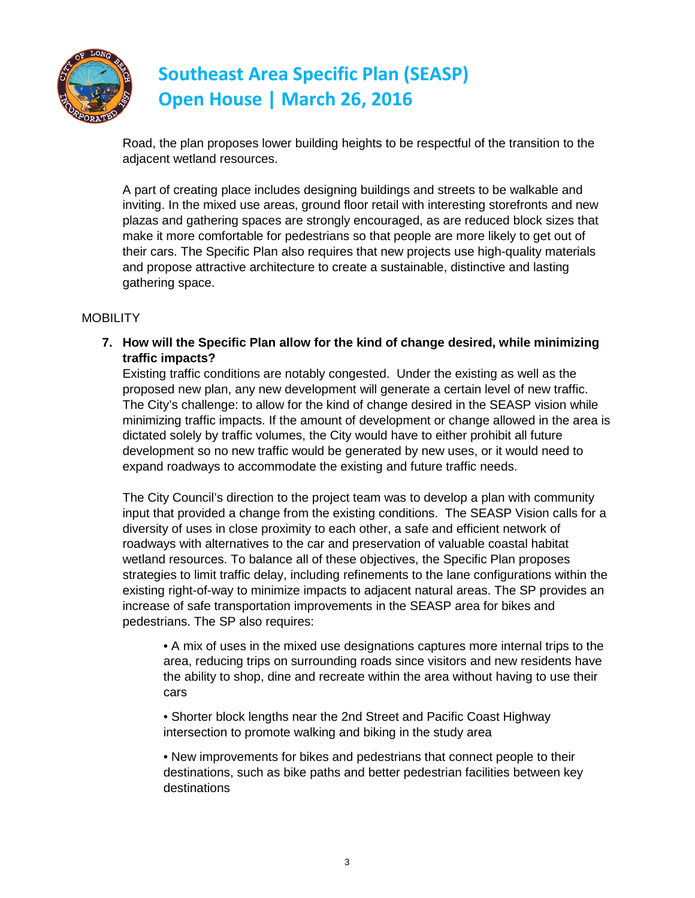

Road, the plan proposes lower building heights to be respectful of the transition to the adjacent wetland resources.

A part of creating place includes designing buildings and streets to be walkable and inviting. In the mixed use areas, ground floor retail with interesting storefronts and new plazas and gathering spaces are strongly encouraged, as are reduced block sizes that make it more comfortable for pedestrians so that people are more likely to get out of their cars. The Specific Plan also requires that new projects use high-quality materials and propose attractive architecture to create a sustainable, distinctive and lasting gathering space.

#### **MOBILITY**

**7. How will the Specific Plan allow for the kind of change desired, while minimizing traffic impacts?**

Existing traffic conditions are notably congested. Under the existing as well as the proposed new plan, any new development will generate a certain level of new traffic. The City's challenge: to allow for the kind of change desired in the SEASP vision while minimizing traffic impacts. If the amount of development or change allowed in the area is dictated solely by traffic volumes, the City would have to either prohibit all future development so no new traffic would be generated by new uses, or it would need to expand roadways to accommodate the existing and future traffic needs.

The City Council's direction to the project team was to develop a plan with community input that provided a change from the existing conditions. The SEASP Vision calls for a diversity of uses in close proximity to each other, a safe and efficient network of roadways with alternatives to the car and preservation of valuable coastal habitat wetland resources. To balance all of these objectives, the Specific Plan proposes strategies to limit traffic delay, including refinements to the lane configurations within the existing right-of-way to minimize impacts to adjacent natural areas. The SP provides an increase of safe transportation improvements in the SEASP area for bikes and pedestrians. The SP also requires:

• A mix of uses in the mixed use designations captures more internal trips to the area, reducing trips on surrounding roads since visitors and new residents have the ability to shop, dine and recreate within the area without having to use their cars

• Shorter block lengths near the 2nd Street and Pacific Coast Highway intersection to promote walking and biking in the study area

• New improvements for bikes and pedestrians that connect people to their destinations, such as bike paths and better pedestrian facilities between key destinations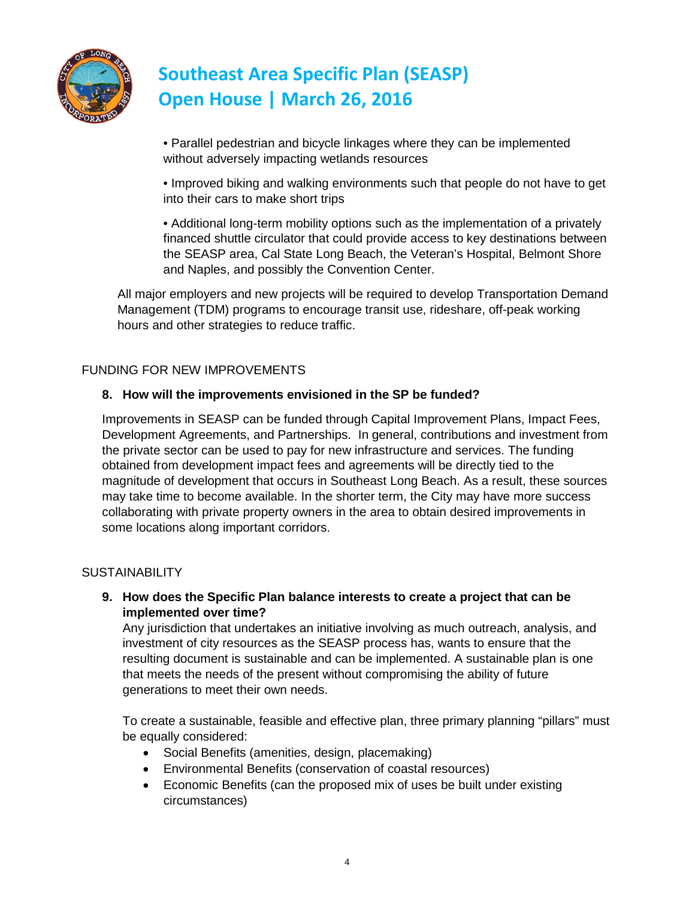

• Parallel pedestrian and bicycle linkages where they can be implemented without adversely impacting wetlands resources

• Improved biking and walking environments such that people do not have to get into their cars to make short trips

• Additional long-term mobility options such as the implementation of a privately financed shuttle circulator that could provide access to key destinations between the SEASP area, Cal State Long Beach, the Veteran's Hospital, Belmont Shore and Naples, and possibly the Convention Center.

All major employers and new projects will be required to develop Transportation Demand Management (TDM) programs to encourage transit use, rideshare, off-peak working hours and other strategies to reduce traffic.

### FUNDING FOR NEW IMPROVEMENTS

#### **8. How will the improvements envisioned in the SP be funded?**

Improvements in SEASP can be funded through Capital Improvement Plans, Impact Fees, Development Agreements, and Partnerships. In general, contributions and investment from the private sector can be used to pay for new infrastructure and services. The funding obtained from development impact fees and agreements will be directly tied to the magnitude of development that occurs in Southeast Long Beach. As a result, these sources may take time to become available. In the shorter term, the City may have more success collaborating with private property owners in the area to obtain desired improvements in some locations along important corridors.

#### **SUSTAINABILITY**

**9. How does the Specific Plan balance interests to create a project that can be implemented over time?**

Any jurisdiction that undertakes an initiative involving as much outreach, analysis, and investment of city resources as the SEASP process has, wants to ensure that the resulting document is sustainable and can be implemented. A sustainable plan is one that meets the needs of the present without compromising the ability of future generations to meet their own needs.

To create a sustainable, feasible and effective plan, three primary planning "pillars" must be equally considered:

- Social Benefits (amenities, design, placemaking)
- Environmental Benefits (conservation of coastal resources)
- Economic Benefits (can the proposed mix of uses be built under existing circumstances)